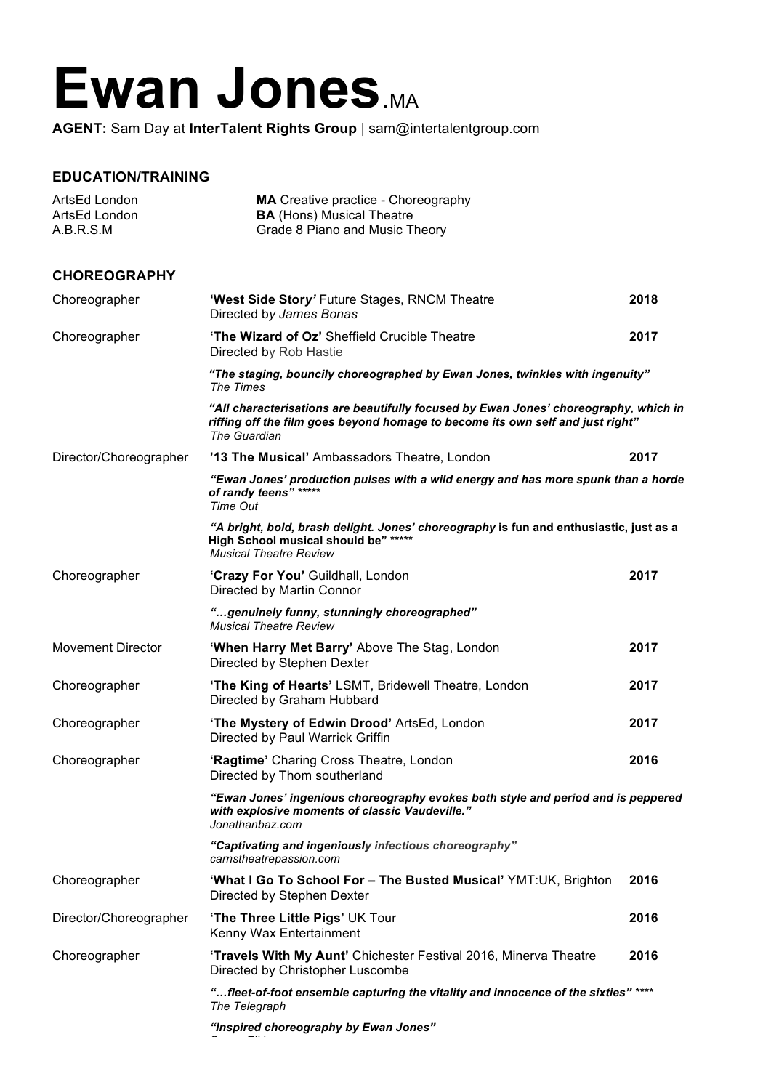## Ewan Jones.MA

**AGENT:** Sam Day at **InterTalent Rights Group** | sam@intertalentgroup.com

## **EDUCATION/TRAINING**

| ArtsEd London<br>ArtsEd London<br>A.B.R.S.M | <b>MA</b> Creative practice - Choreography<br><b>BA</b> (Hons) Musical Theatre<br>Grade 8 Piano and Music Theory                                                                       |      |
|---------------------------------------------|----------------------------------------------------------------------------------------------------------------------------------------------------------------------------------------|------|
| <b>CHOREOGRAPHY</b>                         |                                                                                                                                                                                        |      |
| Choreographer                               | 'West Side Story' Future Stages, RNCM Theatre<br>Directed by James Bonas                                                                                                               | 2018 |
| Choreographer                               | 'The Wizard of Oz' Sheffield Crucible Theatre<br>Directed by Rob Hastie                                                                                                                | 2017 |
|                                             | "The staging, bouncily choreographed by Ewan Jones, twinkles with ingenuity"<br>The Times                                                                                              |      |
|                                             | "All characterisations are beautifully focused by Ewan Jones' choreography, which in<br>riffing off the film goes beyond homage to become its own self and just right"<br>The Guardian |      |
| Director/Choreographer                      | '13 The Musical' Ambassadors Theatre, London                                                                                                                                           | 2017 |
|                                             | "Ewan Jones' production pulses with a wild energy and has more spunk than a horde<br>of randy teens" *****<br>Time Out                                                                 |      |
|                                             | "A bright, bold, brash delight. Jones' choreography is fun and enthusiastic, just as a<br>High School musical should be" *****<br><b>Musical Theatre Review</b>                        |      |
| Choreographer                               | 'Crazy For You' Guildhall, London<br>Directed by Martin Connor                                                                                                                         | 2017 |
|                                             | "genuinely funny, stunningly choreographed"<br><b>Musical Theatre Review</b>                                                                                                           |      |
| <b>Movement Director</b>                    | 'When Harry Met Barry' Above The Stag, London<br>Directed by Stephen Dexter                                                                                                            | 2017 |
| Choreographer                               | 'The King of Hearts' LSMT, Bridewell Theatre, London<br>Directed by Graham Hubbard                                                                                                     | 2017 |
| Choreographer                               | 'The Mystery of Edwin Drood' ArtsEd, London<br>Directed by Paul Warrick Griffin                                                                                                        | 2017 |
| Choreographer                               | 'Ragtime' Charing Cross Theatre, London<br>Directed by Thom southerland                                                                                                                | 2016 |
|                                             | "Ewan Jones' ingenious choreography evokes both style and period and is peppered<br>with explosive moments of classic Vaudeville."<br>Jonathanbaz.com                                  |      |
|                                             | "Captivating and ingeniously infectious choreography"<br>carnstheatrepassion.com                                                                                                       |      |
| Choreographer                               | 'What I Go To School For - The Busted Musical' YMT:UK, Brighton<br>Directed by Stephen Dexter                                                                                          | 2016 |
| Director/Choreographer                      | 'The Three Little Pigs' UK Tour<br>Kenny Wax Entertainment                                                                                                                             | 2016 |
| Choreographer                               | 'Travels With My Aunt' Chichester Festival 2016, Minerva Theatre<br>Directed by Christopher Luscombe                                                                                   | 2016 |
|                                             | "fleet-of-foot ensemble capturing the vitality and innocence of the sixties" ****<br>The Telegraph                                                                                     |      |
|                                             | "Inspired choreography by Ewan Jones"                                                                                                                                                  |      |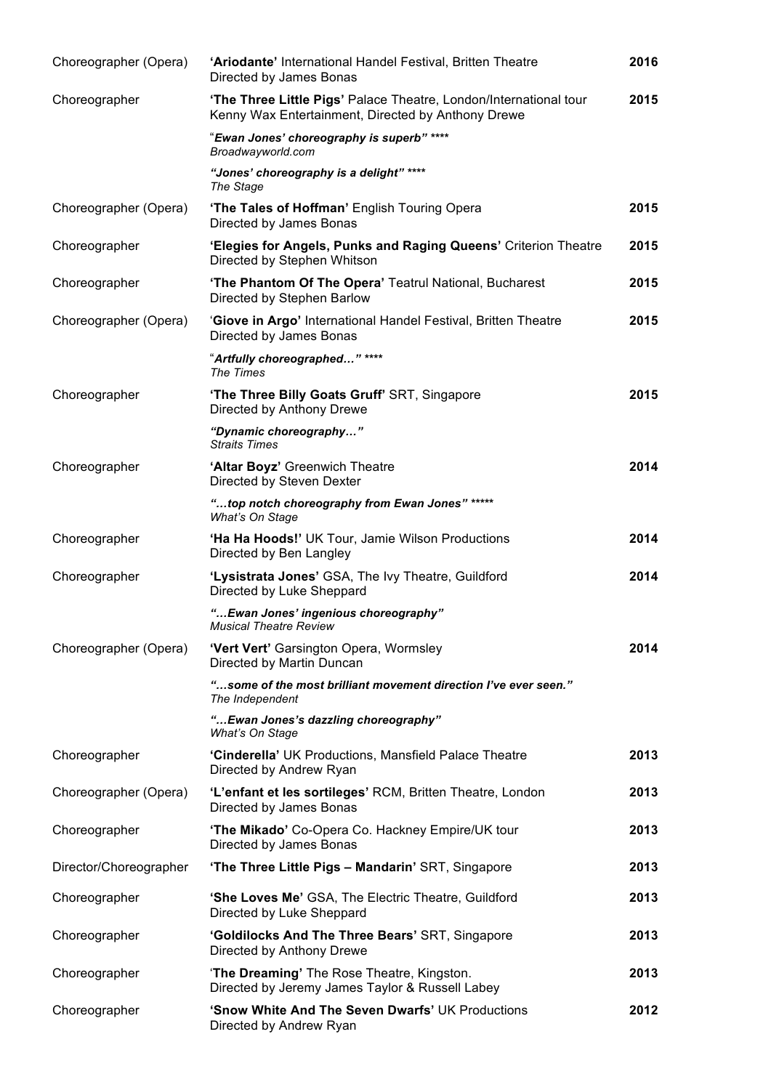| Choreographer (Opera)  | 'Ariodante' International Handel Festival, Britten Theatre<br>Directed by James Bonas                                   | 2016 |
|------------------------|-------------------------------------------------------------------------------------------------------------------------|------|
| Choreographer          | 'The Three Little Pigs' Palace Theatre, London/International tour<br>Kenny Wax Entertainment, Directed by Anthony Drewe | 2015 |
|                        | "Ewan Jones' choreography is superb" ****<br>Broadwayworld.com                                                          |      |
|                        | "Jones' choreography is a delight" ****<br>The Stage                                                                    |      |
| Choreographer (Opera)  | 'The Tales of Hoffman' English Touring Opera<br>Directed by James Bonas                                                 | 2015 |
| Choreographer          | 'Elegies for Angels, Punks and Raging Queens' Criterion Theatre<br>Directed by Stephen Whitson                          | 2015 |
| Choreographer          | 'The Phantom Of The Opera' Teatrul National, Bucharest<br>Directed by Stephen Barlow                                    | 2015 |
| Choreographer (Opera)  | 'Giove in Argo' International Handel Festival, Britten Theatre<br>Directed by James Bonas                               | 2015 |
|                        | "Artfully choreographed" ****<br>The Times                                                                              |      |
| Choreographer          | 'The Three Billy Goats Gruff' SRT, Singapore<br>Directed by Anthony Drewe                                               | 2015 |
|                        | "Dynamic choreography"<br><b>Straits Times</b>                                                                          |      |
| Choreographer          | 'Altar Boyz' Greenwich Theatre<br>Directed by Steven Dexter                                                             | 2014 |
|                        | "top notch choreography from Ewan Jones" *****<br>What's On Stage                                                       |      |
| Choreographer          | 'Ha Ha Hoods!' UK Tour, Jamie Wilson Productions<br>Directed by Ben Langley                                             | 2014 |
| Choreographer          | 'Lysistrata Jones' GSA, The Ivy Theatre, Guildford<br>Directed by Luke Sheppard                                         | 2014 |
|                        | " Ewan Jones' ingenious choreography"<br><b>Musical Theatre Review</b>                                                  |      |
| Choreographer (Opera)  | 'Vert Vert' Garsington Opera, Wormsley<br>Directed by Martin Duncan                                                     | 2014 |
|                        | "some of the most brilliant movement direction I've ever seen."<br>The Independent                                      |      |
|                        | " Ewan Jones's dazzling choreography"<br>What's On Stage                                                                |      |
| Choreographer          | 'Cinderella' UK Productions, Mansfield Palace Theatre<br>Directed by Andrew Ryan                                        | 2013 |
| Choreographer (Opera)  | 'L'enfant et les sortileges' RCM, Britten Theatre, London<br>Directed by James Bonas                                    | 2013 |
| Choreographer          | 'The Mikado' Co-Opera Co. Hackney Empire/UK tour<br>Directed by James Bonas                                             | 2013 |
| Director/Choreographer | 'The Three Little Pigs - Mandarin' SRT, Singapore                                                                       | 2013 |
| Choreographer          | 'She Loves Me' GSA, The Electric Theatre, Guildford<br>Directed by Luke Sheppard                                        | 2013 |
| Choreographer          | 'Goldilocks And The Three Bears' SRT, Singapore<br>Directed by Anthony Drewe                                            | 2013 |
| Choreographer          | 'The Dreaming' The Rose Theatre, Kingston.<br>Directed by Jeremy James Taylor & Russell Labey                           | 2013 |
| Choreographer          | 'Snow White And The Seven Dwarfs' UK Productions<br>Directed by Andrew Ryan                                             | 2012 |